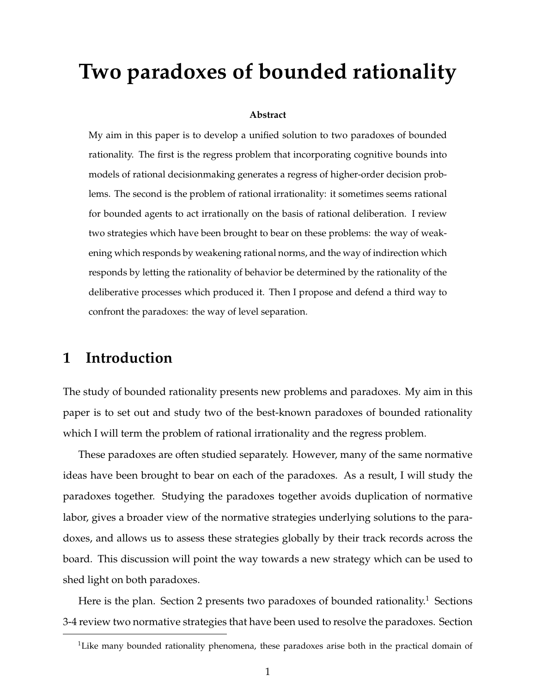# **Two paradoxes of bounded rationality**

#### **Abstract**

My aim in this paper is to develop a unified solution to two paradoxes of bounded rationality. The first is the regress problem that incorporating cognitive bounds into models of rational decisionmaking generates a regress of higher-order decision problems. The second is the problem of rational irrationality: it sometimes seems rational for bounded agents to act irrationally on the basis of rational deliberation. I review two strategies which have been brought to bear on these problems: the way of weakening which responds by weakening rational norms, and the way of indirection which responds by letting the rationality of behavior be determined by the rationality of the deliberative processes which produced it. Then I propose and defend a third way to confront the paradoxes: the way of level separation.

### **1 Introduction**

The study of bounded rationality presents new problems and paradoxes. My aim in this paper is to set out and study two of the best-known paradoxes of bounded rationality which I will term the problem of rational irrationality and the regress problem.

These paradoxes are often studied separately. However, many of the same normative ideas have been brought to bear on each of the paradoxes. As a result, I will study the paradoxes together. Studying the paradoxes together avoids duplication of normative labor, gives a broader view of the normative strategies underlying solutions to the paradoxes, and allows us to assess these strategies globally by their track records across the board. This discussion will point the way towards a new strategy which can be used to shed light on both paradoxes.

Here is the plan. Section 2 presents two paradoxes of bounded rationality.<sup>1</sup> Sections 3-4 review two normative strategies that have been used to resolve the paradoxes. Section

 $1$ Like many bounded rationality phenomena, these paradoxes arise both in the practical domain of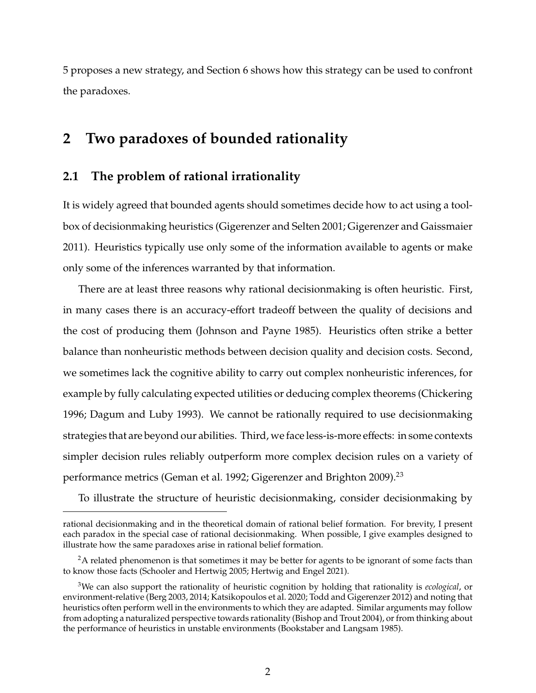5 proposes a new strategy, and Section 6 shows how this strategy can be used to confront the paradoxes.

### **2 Two paradoxes of bounded rationality**

#### **2.1 The problem of rational irrationality**

It is widely agreed that bounded agents should sometimes decide how to act using a toolbox of decisionmaking heuristics (Gigerenzer and Selten 2001; Gigerenzer and Gaissmaier 2011). Heuristics typically use only some of the information available to agents or make only some of the inferences warranted by that information.

There are at least three reasons why rational decisionmaking is often heuristic. First, in many cases there is an accuracy-effort tradeoff between the quality of decisions and the cost of producing them (Johnson and Payne 1985). Heuristics often strike a better balance than nonheuristic methods between decision quality and decision costs. Second, we sometimes lack the cognitive ability to carry out complex nonheuristic inferences, for example by fully calculating expected utilities or deducing complex theorems (Chickering 1996; Dagum and Luby 1993). We cannot be rationally required to use decisionmaking strategies that are beyond our abilities. Third, we face less-is-more effects: in some contexts simpler decision rules reliably outperform more complex decision rules on a variety of performance metrics (Geman et al. 1992; Gigerenzer and Brighton 2009).<sup>23</sup>

To illustrate the structure of heuristic decisionmaking, consider decisionmaking by

rational decisionmaking and in the theoretical domain of rational belief formation. For brevity, I present each paradox in the special case of rational decisionmaking. When possible, I give examples designed to illustrate how the same paradoxes arise in rational belief formation.

<sup>&</sup>lt;sup>2</sup>A related phenomenon is that sometimes it may be better for agents to be ignorant of some facts than to know those facts (Schooler and Hertwig 2005; Hertwig and Engel 2021).

<sup>3</sup>We can also support the rationality of heuristic cognition by holding that rationality is *ecological*, or environment-relative (Berg 2003, 2014; Katsikopoulos et al. 2020; Todd and Gigerenzer 2012) and noting that heuristics often perform well in the environments to which they are adapted. Similar arguments may follow from adopting a naturalized perspective towards rationality (Bishop and Trout 2004), or from thinking about the performance of heuristics in unstable environments (Bookstaber and Langsam 1985).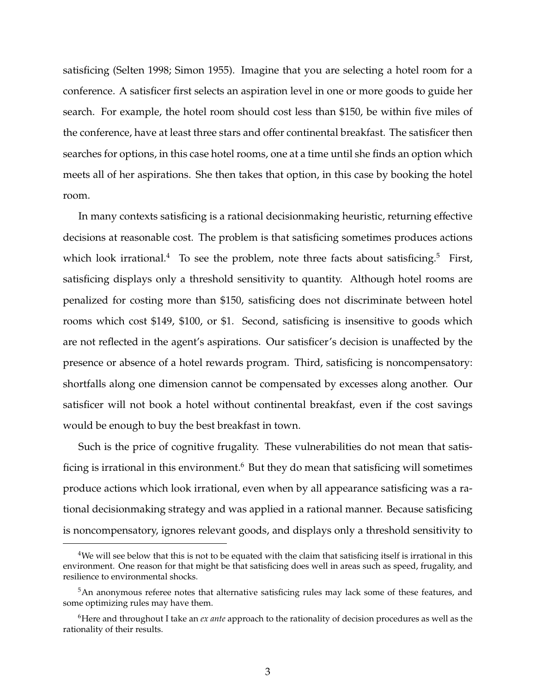satisficing (Selten 1998; Simon 1955). Imagine that you are selecting a hotel room for a conference. A satisficer first selects an aspiration level in one or more goods to guide her search. For example, the hotel room should cost less than \$150, be within five miles of the conference, have at least three stars and offer continental breakfast. The satisficer then searches for options, in this case hotel rooms, one at a time until she finds an option which meets all of her aspirations. She then takes that option, in this case by booking the hotel room.

In many contexts satisficing is a rational decisionmaking heuristic, returning effective decisions at reasonable cost. The problem is that satisficing sometimes produces actions which look irrational.<sup>4</sup> To see the problem, note three facts about satisficing.<sup>5</sup> First, satisficing displays only a threshold sensitivity to quantity. Although hotel rooms are penalized for costing more than \$150, satisficing does not discriminate between hotel rooms which cost \$149, \$100, or \$1. Second, satisficing is insensitive to goods which are not reflected in the agent's aspirations. Our satisficer's decision is unaffected by the presence or absence of a hotel rewards program. Third, satisficing is noncompensatory: shortfalls along one dimension cannot be compensated by excesses along another. Our satisficer will not book a hotel without continental breakfast, even if the cost savings would be enough to buy the best breakfast in town.

Such is the price of cognitive frugality. These vulnerabilities do not mean that satisficing is irrational in this environment.<sup>6</sup> But they do mean that satisficing will sometimes produce actions which look irrational, even when by all appearance satisficing was a rational decisionmaking strategy and was applied in a rational manner. Because satisficing is noncompensatory, ignores relevant goods, and displays only a threshold sensitivity to

<sup>&</sup>lt;sup>4</sup>We will see below that this is not to be equated with the claim that satisficing itself is irrational in this environment. One reason for that might be that satisficing does well in areas such as speed, frugality, and resilience to environmental shocks.

<sup>&</sup>lt;sup>5</sup>An anonymous referee notes that alternative satisficing rules may lack some of these features, and some optimizing rules may have them.

<sup>6</sup>Here and throughout I take an *ex ante* approach to the rationality of decision procedures as well as the rationality of their results.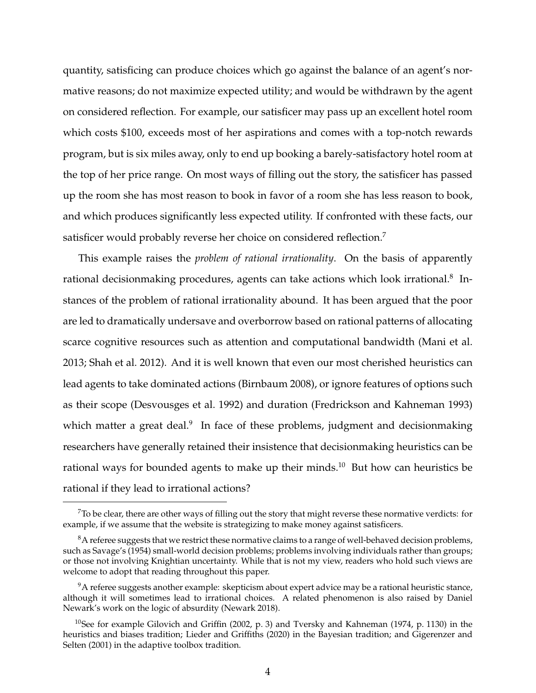quantity, satisficing can produce choices which go against the balance of an agent's normative reasons; do not maximize expected utility; and would be withdrawn by the agent on considered reflection. For example, our satisficer may pass up an excellent hotel room which costs \$100, exceeds most of her aspirations and comes with a top-notch rewards program, but is six miles away, only to end up booking a barely-satisfactory hotel room at the top of her price range. On most ways of filling out the story, the satisficer has passed up the room she has most reason to book in favor of a room she has less reason to book, and which produces significantly less expected utility. If confronted with these facts, our satisficer would probably reverse her choice on considered reflection.<sup>7</sup>

This example raises the *problem of rational irrationality*. On the basis of apparently rational decisionmaking procedures, agents can take actions which look irrational. $8$  Instances of the problem of rational irrationality abound. It has been argued that the poor are led to dramatically undersave and overborrow based on rational patterns of allocating scarce cognitive resources such as attention and computational bandwidth (Mani et al. 2013; Shah et al. 2012). And it is well known that even our most cherished heuristics can lead agents to take dominated actions (Birnbaum 2008), or ignore features of options such as their scope (Desvousges et al. 1992) and duration (Fredrickson and Kahneman 1993) which matter a great deal.<sup>9</sup> In face of these problems, judgment and decisionmaking researchers have generally retained their insistence that decisionmaking heuristics can be rational ways for bounded agents to make up their minds.<sup>10</sup> But how can heuristics be rational if they lead to irrational actions?

 $7$ To be clear, there are other ways of filling out the story that might reverse these normative verdicts: for example, if we assume that the website is strategizing to make money against satisficers.

 $8A$  referee suggests that we restrict these normative claims to a range of well-behaved decision problems, such as Savage's (1954) small-world decision problems; problems involving individuals rather than groups; or those not involving Knightian uncertainty. While that is not my view, readers who hold such views are welcome to adopt that reading throughout this paper.

 $9^9$ A referee suggests another example: skepticism about expert advice may be a rational heuristic stance, although it will sometimes lead to irrational choices. A related phenomenon is also raised by Daniel Newark's work on the logic of absurdity (Newark 2018).

<sup>&</sup>lt;sup>10</sup>See for example Gilovich and Griffin (2002, p. 3) and Tversky and Kahneman (1974, p. 1130) in the heuristics and biases tradition; Lieder and Griffiths (2020) in the Bayesian tradition; and Gigerenzer and Selten (2001) in the adaptive toolbox tradition.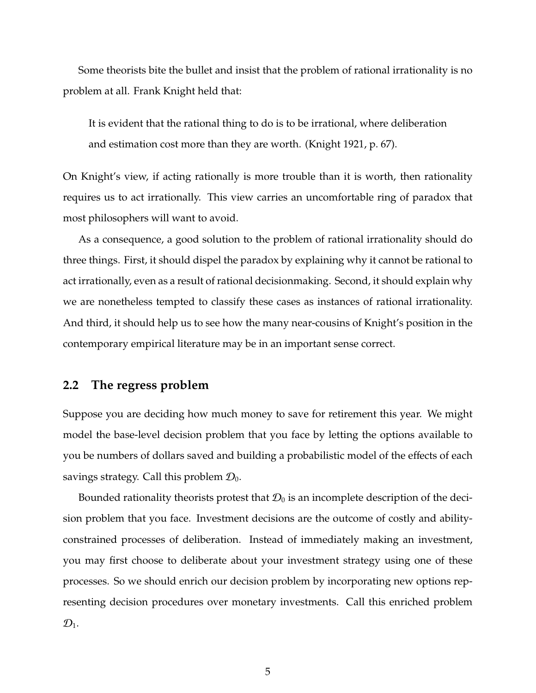Some theorists bite the bullet and insist that the problem of rational irrationality is no problem at all. Frank Knight held that:

It is evident that the rational thing to do is to be irrational, where deliberation and estimation cost more than they are worth. (Knight 1921, p. 67).

On Knight's view, if acting rationally is more trouble than it is worth, then rationality requires us to act irrationally. This view carries an uncomfortable ring of paradox that most philosophers will want to avoid.

As a consequence, a good solution to the problem of rational irrationality should do three things. First, it should dispel the paradox by explaining why it cannot be rational to act irrationally, even as a result of rational decisionmaking. Second, it should explain why we are nonetheless tempted to classify these cases as instances of rational irrationality. And third, it should help us to see how the many near-cousins of Knight's position in the contemporary empirical literature may be in an important sense correct.

#### **2.2 The regress problem**

Suppose you are deciding how much money to save for retirement this year. We might model the base-level decision problem that you face by letting the options available to you be numbers of dollars saved and building a probabilistic model of the effects of each savings strategy. Call this problem  $\mathcal{D}_0$ .

Bounded rationality theorists protest that  $\mathcal{D}_0$  is an incomplete description of the decision problem that you face. Investment decisions are the outcome of costly and abilityconstrained processes of deliberation. Instead of immediately making an investment, you may first choose to deliberate about your investment strategy using one of these processes. So we should enrich our decision problem by incorporating new options representing decision procedures over monetary investments. Call this enriched problem  $\mathcal{D}_1$ .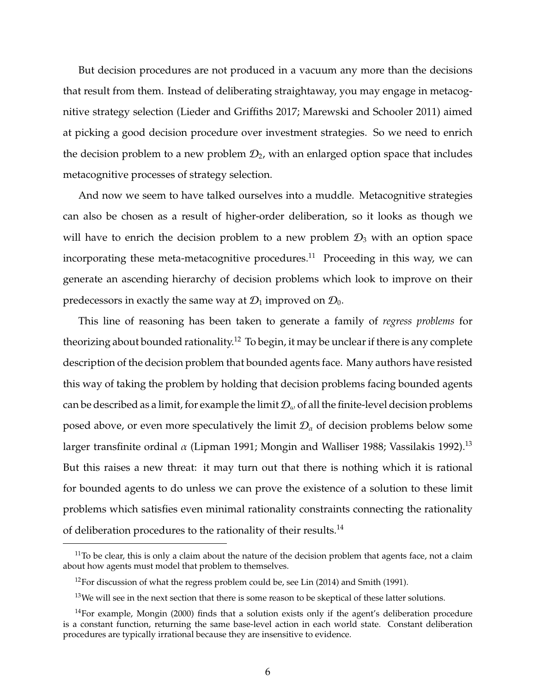But decision procedures are not produced in a vacuum any more than the decisions that result from them. Instead of deliberating straightaway, you may engage in metacognitive strategy selection (Lieder and Griffiths 2017; Marewski and Schooler 2011) aimed at picking a good decision procedure over investment strategies. So we need to enrich the decision problem to a new problem  $\mathcal{D}_2$ , with an enlarged option space that includes metacognitive processes of strategy selection.

And now we seem to have talked ourselves into a muddle. Metacognitive strategies can also be chosen as a result of higher-order deliberation, so it looks as though we will have to enrich the decision problem to a new problem  $\mathcal{D}_3$  with an option space incorporating these meta-metacognitive procedures.<sup>11</sup> Proceeding in this way, we can generate an ascending hierarchy of decision problems which look to improve on their predecessors in exactly the same way at  $\mathcal{D}_1$  improved on  $\mathcal{D}_0$ .

This line of reasoning has been taken to generate a family of *regress problems* for theorizing about bounded rationality.<sup>12</sup> To begin, it may be unclear if there is any complete description of the decision problem that bounded agents face. Many authors have resisted this way of taking the problem by holding that decision problems facing bounded agents can be described as a limit, for example the limit  $\mathcal{D}_{\omega}$  of all the finite-level decision problems posed above, or even more speculatively the limit  $\mathcal{D}_{\alpha}$  of decision problems below some larger transfinite ordinal  $\alpha$  (Lipman 1991; Mongin and Walliser 1988; Vassilakis 1992).<sup>13</sup> But this raises a new threat: it may turn out that there is nothing which it is rational for bounded agents to do unless we can prove the existence of a solution to these limit problems which satisfies even minimal rationality constraints connecting the rationality of deliberation procedures to the rationality of their results.<sup>14</sup>

 $11$ To be clear, this is only a claim about the nature of the decision problem that agents face, not a claim about how agents must model that problem to themselves.

 $12$ For discussion of what the regress problem could be, see Lin (2014) and Smith (1991).

 $13$ We will see in the next section that there is some reason to be skeptical of these latter solutions.

 $14$ For example, Mongin (2000) finds that a solution exists only if the agent's deliberation procedure is a constant function, returning the same base-level action in each world state. Constant deliberation procedures are typically irrational because they are insensitive to evidence.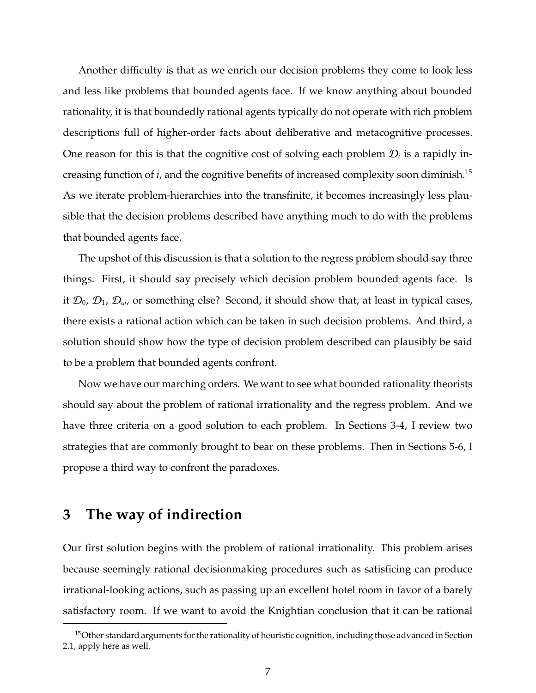Another difficulty is that as we enrich our decision problems they come to look less and less like problems that bounded agents face. If we know anything about bounded rationality, it is that boundedly rational agents typically do not operate with rich problem descriptions full of higher-order facts about deliberative and metacognitive processes. One reason for this is that the cognitive cost of solving each problem  $\mathcal{D}_i$  is a rapidly increasing function of *i*, and the cognitive benefits of increased complexity soon diminish.<sup>15</sup> As we iterate problem-hierarchies into the transfinite, it becomes increasingly less plausible that the decision problems described have anything much to do with the problems that bounded agents face.

The upshot of this discussion is that a solution to the regress problem should say three things. First, it should say precisely which decision problem bounded agents face. Is it  $\mathcal{D}_0$ ,  $\mathcal{D}_1$ ,  $\mathcal{D}_{\omega}$ , or something else? Second, it should show that, at least in typical cases, there exists a rational action which can be taken in such decision problems. And third, a solution should show how the type of decision problem described can plausibly be said to be a problem that bounded agents confront.

Now we have our marching orders. We want to see what bounded rationality theorists should say about the problem of rational irrationality and the regress problem. And we have three criteria on a good solution to each problem. In Sections 3-4, I review two strategies that are commonly brought to bear on these problems. Then in Sections 5-6, I propose a third way to confront the paradoxes.

#### **3 The way of indirection**

Our first solution begins with the problem of rational irrationality. This problem arises because seemingly rational decisionmaking procedures such as satisficing can produce irrational-looking actions, such as passing up an excellent hotel room in favor of a barely satisfactory room. If we want to avoid the Knightian conclusion that it can be rational

<sup>&</sup>lt;sup>15</sup>Other standard arguments for the rationality of heuristic cognition, including those advanced in Section 2.1, apply here as well.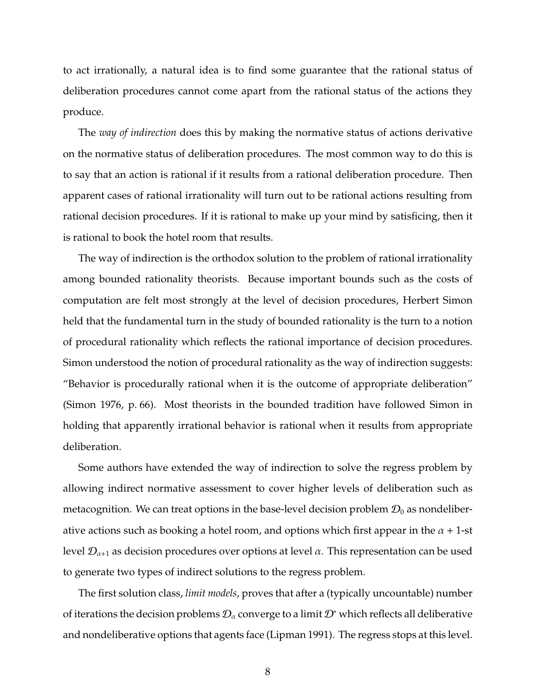to act irrationally, a natural idea is to find some guarantee that the rational status of deliberation procedures cannot come apart from the rational status of the actions they produce.

The *way of indirection* does this by making the normative status of actions derivative on the normative status of deliberation procedures. The most common way to do this is to say that an action is rational if it results from a rational deliberation procedure. Then apparent cases of rational irrationality will turn out to be rational actions resulting from rational decision procedures. If it is rational to make up your mind by satisficing, then it is rational to book the hotel room that results.

The way of indirection is the orthodox solution to the problem of rational irrationality among bounded rationality theorists. Because important bounds such as the costs of computation are felt most strongly at the level of decision procedures, Herbert Simon held that the fundamental turn in the study of bounded rationality is the turn to a notion of procedural rationality which reflects the rational importance of decision procedures. Simon understood the notion of procedural rationality as the way of indirection suggests: "Behavior is procedurally rational when it is the outcome of appropriate deliberation" (Simon 1976, p. 66). Most theorists in the bounded tradition have followed Simon in holding that apparently irrational behavior is rational when it results from appropriate deliberation.

Some authors have extended the way of indirection to solve the regress problem by allowing indirect normative assessment to cover higher levels of deliberation such as metacognition. We can treat options in the base-level decision problem  $\mathcal{D}_0$  as nondeliberative actions such as booking a hotel room, and options which first appear in the  $\alpha + 1$ -st level  $\mathcal{D}_{\alpha+1}$  as decision procedures over options at level  $\alpha$ . This representation can be used to generate two types of indirect solutions to the regress problem.

The first solution class, *limit models*, proves that after a (typically uncountable) number of iterations the decision problems  $\mathcal{D}_{\alpha}$  converge to a limit  $\mathcal{D}^*$  which reflects all deliberative and nondeliberative options that agents face (Lipman 1991). The regress stops at this level.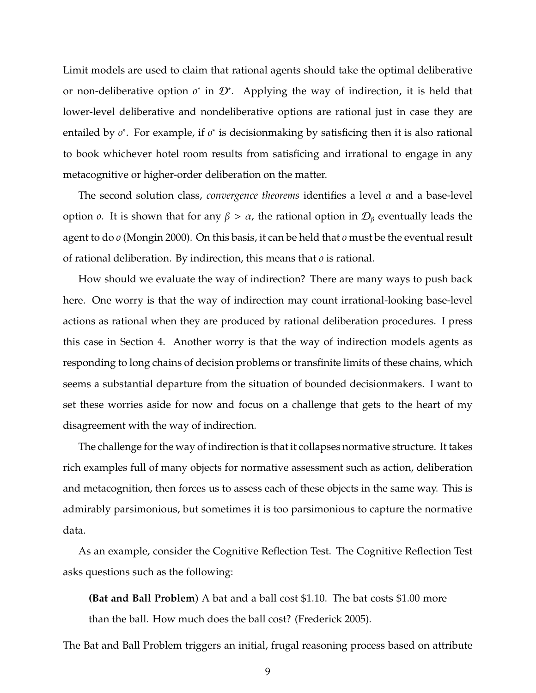Limit models are used to claim that rational agents should take the optimal deliberative or non-deliberative option *o*<sup>\*</sup> in  $\mathcal{D}^*$ . Applying the way of indirection, it is held that lower-level deliberative and nondeliberative options are rational just in case they are entailed by *o*<sup>\*</sup>. For example, if *o*<sup>\*</sup> is decisionmaking by satisficing then it is also rational to book whichever hotel room results from satisficing and irrational to engage in any metacognitive or higher-order deliberation on the matter.

The second solution class, *convergence theorems* identifies a level  $\alpha$  and a base-level option *o*. It is shown that for any  $β > α$ , the rational option in  $D<sub>β</sub>$  eventually leads the agent to do *o* (Mongin 2000). On this basis, it can be held that *o* must be the eventual result of rational deliberation. By indirection, this means that *o* is rational.

How should we evaluate the way of indirection? There are many ways to push back here. One worry is that the way of indirection may count irrational-looking base-level actions as rational when they are produced by rational deliberation procedures. I press this case in Section 4. Another worry is that the way of indirection models agents as responding to long chains of decision problems or transfinite limits of these chains, which seems a substantial departure from the situation of bounded decisionmakers. I want to set these worries aside for now and focus on a challenge that gets to the heart of my disagreement with the way of indirection.

The challenge for the way of indirection is that it collapses normative structure. It takes rich examples full of many objects for normative assessment such as action, deliberation and metacognition, then forces us to assess each of these objects in the same way. This is admirably parsimonious, but sometimes it is too parsimonious to capture the normative data.

As an example, consider the Cognitive Reflection Test. The Cognitive Reflection Test asks questions such as the following:

**(Bat and Ball Problem**) A bat and a ball cost \$1.10. The bat costs \$1.00 more than the ball. How much does the ball cost? (Frederick 2005).

The Bat and Ball Problem triggers an initial, frugal reasoning process based on attribute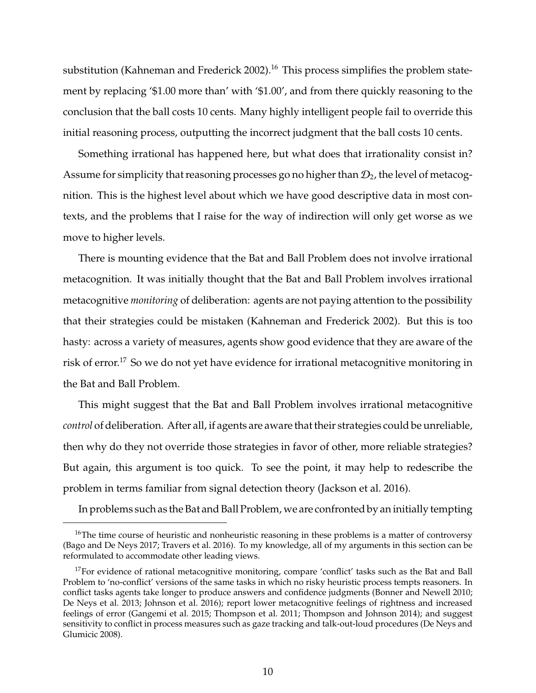substitution (Kahneman and Frederick 2002).<sup>16</sup> This process simplifies the problem statement by replacing '\$1.00 more than' with '\$1.00', and from there quickly reasoning to the conclusion that the ball costs 10 cents. Many highly intelligent people fail to override this initial reasoning process, outputting the incorrect judgment that the ball costs 10 cents.

Something irrational has happened here, but what does that irrationality consist in? Assume for simplicity that reasoning processes go no higher than  $\mathcal{D}_2$ , the level of metacognition. This is the highest level about which we have good descriptive data in most contexts, and the problems that I raise for the way of indirection will only get worse as we move to higher levels.

There is mounting evidence that the Bat and Ball Problem does not involve irrational metacognition. It was initially thought that the Bat and Ball Problem involves irrational metacognitive *monitoring* of deliberation: agents are not paying attention to the possibility that their strategies could be mistaken (Kahneman and Frederick 2002). But this is too hasty: across a variety of measures, agents show good evidence that they are aware of the risk of error.<sup>17</sup> So we do not yet have evidence for irrational metacognitive monitoring in the Bat and Ball Problem.

This might suggest that the Bat and Ball Problem involves irrational metacognitive *control* of deliberation. After all, if agents are aware that their strategies could be unreliable, then why do they not override those strategies in favor of other, more reliable strategies? But again, this argument is too quick. To see the point, it may help to redescribe the problem in terms familiar from signal detection theory (Jackson et al. 2016).

In problems such as the Bat and Ball Problem, we are confronted by an initially tempting

<sup>&</sup>lt;sup>16</sup>The time course of heuristic and nonheuristic reasoning in these problems is a matter of controversy (Bago and De Neys 2017; Travers et al. 2016). To my knowledge, all of my arguments in this section can be reformulated to accommodate other leading views.

 $17$  For evidence of rational metacognitive monitoring, compare 'conflict' tasks such as the Bat and Ball Problem to 'no-conflict' versions of the same tasks in which no risky heuristic process tempts reasoners. In conflict tasks agents take longer to produce answers and confidence judgments (Bonner and Newell 2010; De Neys et al. 2013; Johnson et al. 2016); report lower metacognitive feelings of rightness and increased feelings of error (Gangemi et al. 2015; Thompson et al. 2011; Thompson and Johnson 2014); and suggest sensitivity to conflict in process measures such as gaze tracking and talk-out-loud procedures (De Neys and Glumicic 2008).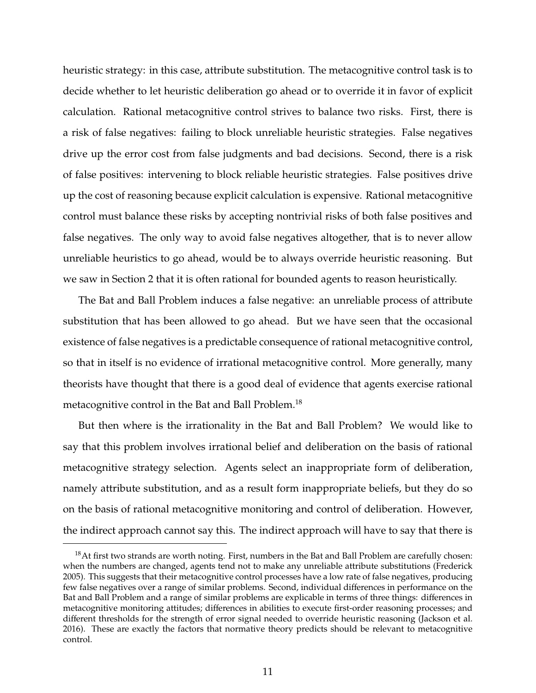heuristic strategy: in this case, attribute substitution. The metacognitive control task is to decide whether to let heuristic deliberation go ahead or to override it in favor of explicit calculation. Rational metacognitive control strives to balance two risks. First, there is a risk of false negatives: failing to block unreliable heuristic strategies. False negatives drive up the error cost from false judgments and bad decisions. Second, there is a risk of false positives: intervening to block reliable heuristic strategies. False positives drive up the cost of reasoning because explicit calculation is expensive. Rational metacognitive control must balance these risks by accepting nontrivial risks of both false positives and false negatives. The only way to avoid false negatives altogether, that is to never allow unreliable heuristics to go ahead, would be to always override heuristic reasoning. But we saw in Section 2 that it is often rational for bounded agents to reason heuristically.

The Bat and Ball Problem induces a false negative: an unreliable process of attribute substitution that has been allowed to go ahead. But we have seen that the occasional existence of false negatives is a predictable consequence of rational metacognitive control, so that in itself is no evidence of irrational metacognitive control. More generally, many theorists have thought that there is a good deal of evidence that agents exercise rational metacognitive control in the Bat and Ball Problem.<sup>18</sup>

But then where is the irrationality in the Bat and Ball Problem? We would like to say that this problem involves irrational belief and deliberation on the basis of rational metacognitive strategy selection. Agents select an inappropriate form of deliberation, namely attribute substitution, and as a result form inappropriate beliefs, but they do so on the basis of rational metacognitive monitoring and control of deliberation. However, the indirect approach cannot say this. The indirect approach will have to say that there is

 $18$ At first two strands are worth noting. First, numbers in the Bat and Ball Problem are carefully chosen: when the numbers are changed, agents tend not to make any unreliable attribute substitutions (Frederick 2005). This suggests that their metacognitive control processes have a low rate of false negatives, producing few false negatives over a range of similar problems. Second, individual differences in performance on the Bat and Ball Problem and a range of similar problems are explicable in terms of three things: differences in metacognitive monitoring attitudes; differences in abilities to execute first-order reasoning processes; and different thresholds for the strength of error signal needed to override heuristic reasoning (Jackson et al. 2016). These are exactly the factors that normative theory predicts should be relevant to metacognitive control.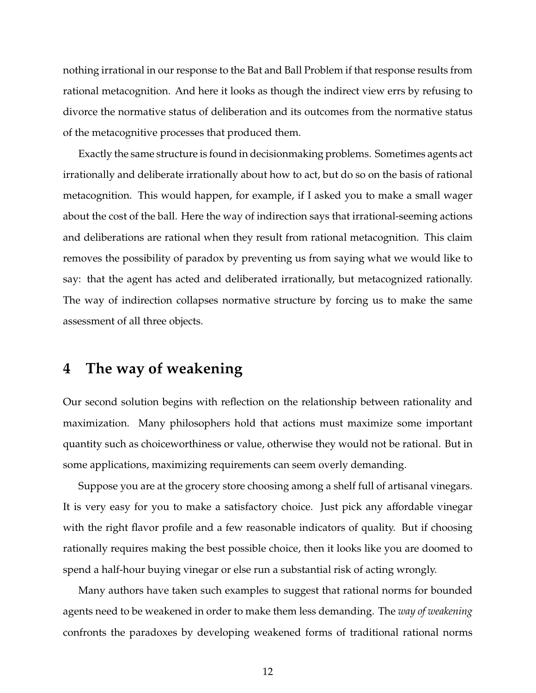nothing irrational in our response to the Bat and Ball Problem if that response results from rational metacognition. And here it looks as though the indirect view errs by refusing to divorce the normative status of deliberation and its outcomes from the normative status of the metacognitive processes that produced them.

Exactly the same structure is found in decisionmaking problems. Sometimes agents act irrationally and deliberate irrationally about how to act, but do so on the basis of rational metacognition. This would happen, for example, if I asked you to make a small wager about the cost of the ball. Here the way of indirection says that irrational-seeming actions and deliberations are rational when they result from rational metacognition. This claim removes the possibility of paradox by preventing us from saying what we would like to say: that the agent has acted and deliberated irrationally, but metacognized rationally. The way of indirection collapses normative structure by forcing us to make the same assessment of all three objects.

### **4 The way of weakening**

Our second solution begins with reflection on the relationship between rationality and maximization. Many philosophers hold that actions must maximize some important quantity such as choiceworthiness or value, otherwise they would not be rational. But in some applications, maximizing requirements can seem overly demanding.

Suppose you are at the grocery store choosing among a shelf full of artisanal vinegars. It is very easy for you to make a satisfactory choice. Just pick any affordable vinegar with the right flavor profile and a few reasonable indicators of quality. But if choosing rationally requires making the best possible choice, then it looks like you are doomed to spend a half-hour buying vinegar or else run a substantial risk of acting wrongly.

Many authors have taken such examples to suggest that rational norms for bounded agents need to be weakened in order to make them less demanding. The *way of weakening* confronts the paradoxes by developing weakened forms of traditional rational norms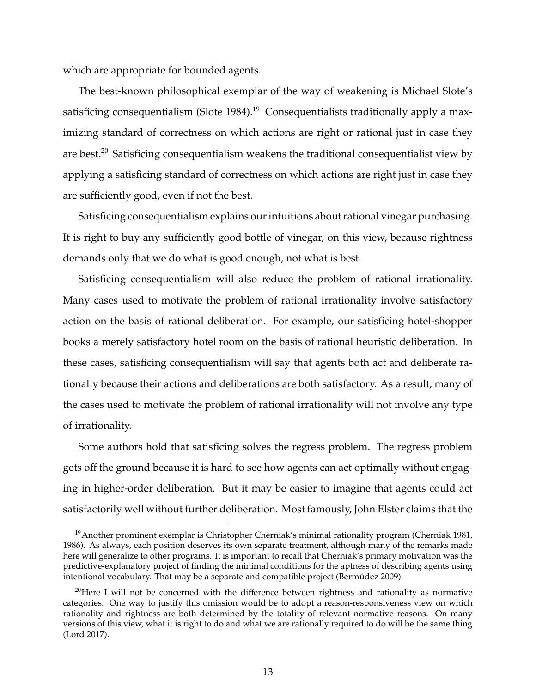which are appropriate for bounded agents.

The best-known philosophical exemplar of the way of weakening is Michael Slote's satisficing consequentialism (Slote 1984).<sup>19</sup> Consequentialists traditionally apply a maximizing standard of correctness on which actions are right or rational just in case they are best.<sup>20</sup> Satisficing consequentialism weakens the traditional consequentialist view by applying a satisficing standard of correctness on which actions are right just in case they are sufficiently good, even if not the best.

Satisficing consequentialism explains our intuitions about rational vinegar purchasing. It is right to buy any sufficiently good bottle of vinegar, on this view, because rightness demands only that we do what is good enough, not what is best.

Satisficing consequentialism will also reduce the problem of rational irrationality. Many cases used to motivate the problem of rational irrationality involve satisfactory action on the basis of rational deliberation. For example, our satisficing hotel-shopper books a merely satisfactory hotel room on the basis of rational heuristic deliberation. In these cases, satisficing consequentialism will say that agents both act and deliberate rationally because their actions and deliberations are both satisfactory. As a result, many of the cases used to motivate the problem of rational irrationality will not involve any type of irrationality.

Some authors hold that satisficing solves the regress problem. The regress problem gets off the ground because it is hard to see how agents can act optimally without engaging in higher-order deliberation. But it may be easier to imagine that agents could act satisfactorily well without further deliberation. Most famously, John Elster claims that the

<sup>&</sup>lt;sup>19</sup> Another prominent exemplar is Christopher Cherniak's minimal rationality program (Cherniak 1981, 1986). As always, each position deserves its own separate treatment, although many of the remarks made here will generalize to other programs. It is important to recall that Cherniak's primary motivation was the predictive-explanatory project of finding the minimal conditions for the aptness of describing agents using intentional vocabulary. That may be a separate and compatible project (Bermudez 2009). ´

 $20$ Here I will not be concerned with the difference between rightness and rationality as normative categories. One way to justify this omission would be to adopt a reason-responsiveness view on which rationality and rightness are both determined by the totality of relevant normative reasons. On many versions of this view, what it is right to do and what we are rationally required to do will be the same thing (Lord 2017).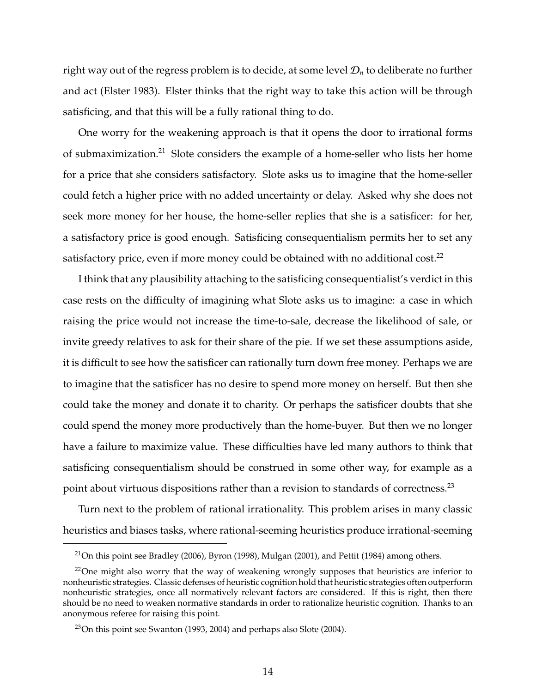right way out of the regress problem is to decide, at some level  $\mathcal{D}_n$  to deliberate no further and act (Elster 1983). Elster thinks that the right way to take this action will be through satisficing, and that this will be a fully rational thing to do.

One worry for the weakening approach is that it opens the door to irrational forms of submaximization.<sup>21</sup> Slote considers the example of a home-seller who lists her home for a price that she considers satisfactory. Slote asks us to imagine that the home-seller could fetch a higher price with no added uncertainty or delay. Asked why she does not seek more money for her house, the home-seller replies that she is a satisficer: for her, a satisfactory price is good enough. Satisficing consequentialism permits her to set any satisfactory price, even if more money could be obtained with no additional cost.<sup>22</sup>

I think that any plausibility attaching to the satisficing consequentialist's verdict in this case rests on the difficulty of imagining what Slote asks us to imagine: a case in which raising the price would not increase the time-to-sale, decrease the likelihood of sale, or invite greedy relatives to ask for their share of the pie. If we set these assumptions aside, it is difficult to see how the satisficer can rationally turn down free money. Perhaps we are to imagine that the satisficer has no desire to spend more money on herself. But then she could take the money and donate it to charity. Or perhaps the satisficer doubts that she could spend the money more productively than the home-buyer. But then we no longer have a failure to maximize value. These difficulties have led many authors to think that satisficing consequentialism should be construed in some other way, for example as a point about virtuous dispositions rather than a revision to standards of correctness.<sup>23</sup>

Turn next to the problem of rational irrationality. This problem arises in many classic heuristics and biases tasks, where rational-seeming heuristics produce irrational-seeming

<sup>&</sup>lt;sup>21</sup>On this point see Bradley (2006), Byron (1998), Mulgan (2001), and Pettit (1984) among others.

<sup>&</sup>lt;sup>22</sup>One might also worry that the way of weakening wrongly supposes that heuristics are inferior to nonheuristic strategies. Classic defenses of heuristic cognition hold that heuristic strategies often outperform nonheuristic strategies, once all normatively relevant factors are considered. If this is right, then there should be no need to weaken normative standards in order to rationalize heuristic cognition. Thanks to an anonymous referee for raising this point.

 $23$ On this point see Swanton (1993, 2004) and perhaps also Slote (2004).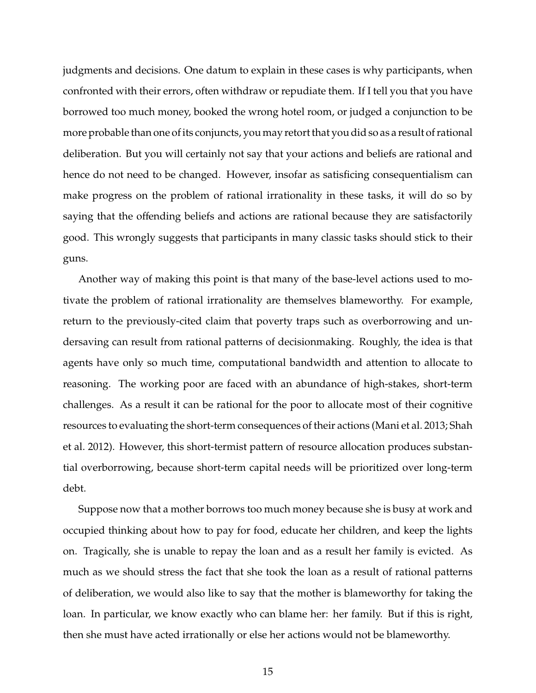judgments and decisions. One datum to explain in these cases is why participants, when confronted with their errors, often withdraw or repudiate them. If I tell you that you have borrowed too much money, booked the wrong hotel room, or judged a conjunction to be more probable than one of its conjuncts, you may retort that you did so as a result of rational deliberation. But you will certainly not say that your actions and beliefs are rational and hence do not need to be changed. However, insofar as satisficing consequentialism can make progress on the problem of rational irrationality in these tasks, it will do so by saying that the offending beliefs and actions are rational because they are satisfactorily good. This wrongly suggests that participants in many classic tasks should stick to their guns.

Another way of making this point is that many of the base-level actions used to motivate the problem of rational irrationality are themselves blameworthy. For example, return to the previously-cited claim that poverty traps such as overborrowing and undersaving can result from rational patterns of decisionmaking. Roughly, the idea is that agents have only so much time, computational bandwidth and attention to allocate to reasoning. The working poor are faced with an abundance of high-stakes, short-term challenges. As a result it can be rational for the poor to allocate most of their cognitive resources to evaluating the short-term consequences of their actions (Mani et al. 2013; Shah et al. 2012). However, this short-termist pattern of resource allocation produces substantial overborrowing, because short-term capital needs will be prioritized over long-term debt.

Suppose now that a mother borrows too much money because she is busy at work and occupied thinking about how to pay for food, educate her children, and keep the lights on. Tragically, she is unable to repay the loan and as a result her family is evicted. As much as we should stress the fact that she took the loan as a result of rational patterns of deliberation, we would also like to say that the mother is blameworthy for taking the loan. In particular, we know exactly who can blame her: her family. But if this is right, then she must have acted irrationally or else her actions would not be blameworthy.

15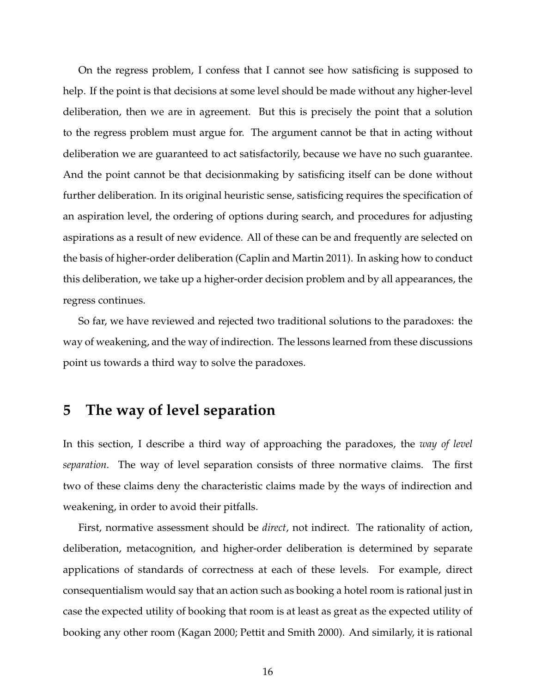On the regress problem, I confess that I cannot see how satisficing is supposed to help. If the point is that decisions at some level should be made without any higher-level deliberation, then we are in agreement. But this is precisely the point that a solution to the regress problem must argue for. The argument cannot be that in acting without deliberation we are guaranteed to act satisfactorily, because we have no such guarantee. And the point cannot be that decisionmaking by satisficing itself can be done without further deliberation. In its original heuristic sense, satisficing requires the specification of an aspiration level, the ordering of options during search, and procedures for adjusting aspirations as a result of new evidence. All of these can be and frequently are selected on the basis of higher-order deliberation (Caplin and Martin 2011). In asking how to conduct this deliberation, we take up a higher-order decision problem and by all appearances, the regress continues.

So far, we have reviewed and rejected two traditional solutions to the paradoxes: the way of weakening, and the way of indirection. The lessons learned from these discussions point us towards a third way to solve the paradoxes.

### **5 The way of level separation**

In this section, I describe a third way of approaching the paradoxes, the *way of level separation*. The way of level separation consists of three normative claims. The first two of these claims deny the characteristic claims made by the ways of indirection and weakening, in order to avoid their pitfalls.

First, normative assessment should be *direct*, not indirect. The rationality of action, deliberation, metacognition, and higher-order deliberation is determined by separate applications of standards of correctness at each of these levels. For example, direct consequentialism would say that an action such as booking a hotel room is rational just in case the expected utility of booking that room is at least as great as the expected utility of booking any other room (Kagan 2000; Pettit and Smith 2000). And similarly, it is rational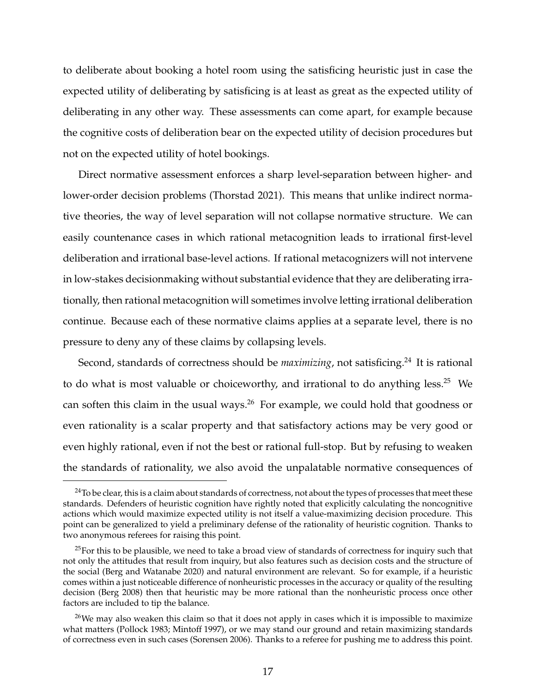to deliberate about booking a hotel room using the satisficing heuristic just in case the expected utility of deliberating by satisficing is at least as great as the expected utility of deliberating in any other way. These assessments can come apart, for example because the cognitive costs of deliberation bear on the expected utility of decision procedures but not on the expected utility of hotel bookings.

Direct normative assessment enforces a sharp level-separation between higher- and lower-order decision problems (Thorstad 2021). This means that unlike indirect normative theories, the way of level separation will not collapse normative structure. We can easily countenance cases in which rational metacognition leads to irrational first-level deliberation and irrational base-level actions. If rational metacognizers will not intervene in low-stakes decisionmaking without substantial evidence that they are deliberating irrationally, then rational metacognition will sometimes involve letting irrational deliberation continue. Because each of these normative claims applies at a separate level, there is no pressure to deny any of these claims by collapsing levels.

Second, standards of correctness should be *maximizing*, not satisficing.<sup>24</sup> It is rational to do what is most valuable or choiceworthy, and irrational to do anything less.<sup>25</sup> We can soften this claim in the usual ways.<sup>26</sup> For example, we could hold that goodness or even rationality is a scalar property and that satisfactory actions may be very good or even highly rational, even if not the best or rational full-stop. But by refusing to weaken the standards of rationality, we also avoid the unpalatable normative consequences of

 $24$ To be clear, this is a claim about standards of correctness, not about the types of processes that meet these standards. Defenders of heuristic cognition have rightly noted that explicitly calculating the noncognitive actions which would maximize expected utility is not itself a value-maximizing decision procedure. This point can be generalized to yield a preliminary defense of the rationality of heuristic cognition. Thanks to two anonymous referees for raising this point.

 $25$ For this to be plausible, we need to take a broad view of standards of correctness for inquiry such that not only the attitudes that result from inquiry, but also features such as decision costs and the structure of the social (Berg and Watanabe 2020) and natural environment are relevant. So for example, if a heuristic comes within a just noticeable difference of nonheuristic processes in the accuracy or quality of the resulting decision (Berg 2008) then that heuristic may be more rational than the nonheuristic process once other factors are included to tip the balance.

 $26$ We may also weaken this claim so that it does not apply in cases which it is impossible to maximize what matters (Pollock 1983; Mintoff 1997), or we may stand our ground and retain maximizing standards of correctness even in such cases (Sorensen 2006). Thanks to a referee for pushing me to address this point.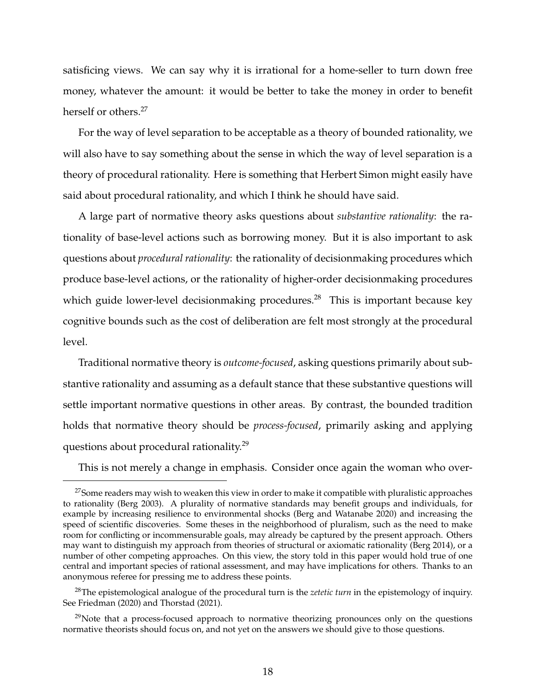satisficing views. We can say why it is irrational for a home-seller to turn down free money, whatever the amount: it would be better to take the money in order to benefit herself or others.<sup>27</sup>

For the way of level separation to be acceptable as a theory of bounded rationality, we will also have to say something about the sense in which the way of level separation is a theory of procedural rationality. Here is something that Herbert Simon might easily have said about procedural rationality, and which I think he should have said.

A large part of normative theory asks questions about *substantive rationality*: the rationality of base-level actions such as borrowing money. But it is also important to ask questions about *procedural rationality*: the rationality of decisionmaking procedures which produce base-level actions, or the rationality of higher-order decisionmaking procedures which guide lower-level decisionmaking procedures.<sup>28</sup> This is important because key cognitive bounds such as the cost of deliberation are felt most strongly at the procedural level.

Traditional normative theory is *outcome-focused*, asking questions primarily about substantive rationality and assuming as a default stance that these substantive questions will settle important normative questions in other areas. By contrast, the bounded tradition holds that normative theory should be *process-focused*, primarily asking and applying questions about procedural rationality.<sup>29</sup>

This is not merely a change in emphasis. Consider once again the woman who over-

<sup>&</sup>lt;sup>27</sup>Some readers may wish to weaken this view in order to make it compatible with pluralistic approaches to rationality (Berg 2003). A plurality of normative standards may benefit groups and individuals, for example by increasing resilience to environmental shocks (Berg and Watanabe 2020) and increasing the speed of scientific discoveries. Some theses in the neighborhood of pluralism, such as the need to make room for conflicting or incommensurable goals, may already be captured by the present approach. Others may want to distinguish my approach from theories of structural or axiomatic rationality (Berg 2014), or a number of other competing approaches. On this view, the story told in this paper would hold true of one central and important species of rational assessment, and may have implications for others. Thanks to an anonymous referee for pressing me to address these points.

<sup>28</sup>The epistemological analogue of the procedural turn is the *zetetic turn* in the epistemology of inquiry. See Friedman (2020) and Thorstad (2021).

 $29$ Note that a process-focused approach to normative theorizing pronounces only on the questions normative theorists should focus on, and not yet on the answers we should give to those questions.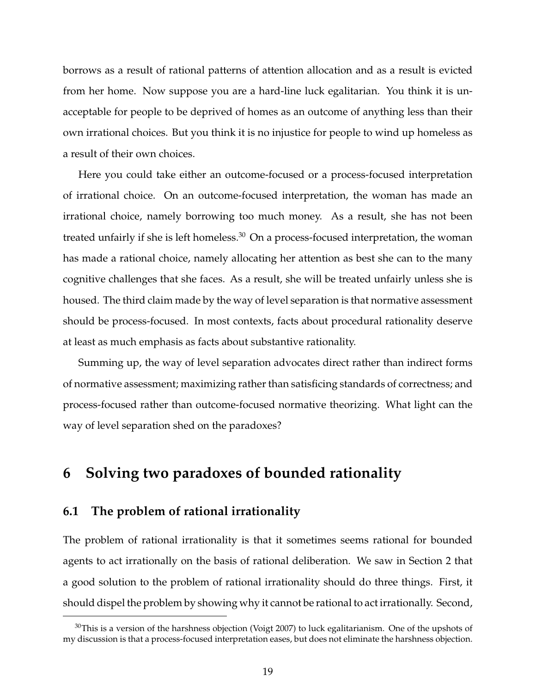borrows as a result of rational patterns of attention allocation and as a result is evicted from her home. Now suppose you are a hard-line luck egalitarian. You think it is unacceptable for people to be deprived of homes as an outcome of anything less than their own irrational choices. But you think it is no injustice for people to wind up homeless as a result of their own choices.

Here you could take either an outcome-focused or a process-focused interpretation of irrational choice. On an outcome-focused interpretation, the woman has made an irrational choice, namely borrowing too much money. As a result, she has not been treated unfairly if she is left homeless. $30$  On a process-focused interpretation, the woman has made a rational choice, namely allocating her attention as best she can to the many cognitive challenges that she faces. As a result, she will be treated unfairly unless she is housed. The third claim made by the way of level separation is that normative assessment should be process-focused. In most contexts, facts about procedural rationality deserve at least as much emphasis as facts about substantive rationality.

Summing up, the way of level separation advocates direct rather than indirect forms of normative assessment; maximizing rather than satisficing standards of correctness; and process-focused rather than outcome-focused normative theorizing. What light can the way of level separation shed on the paradoxes?

## **6 Solving two paradoxes of bounded rationality**

#### **6.1 The problem of rational irrationality**

The problem of rational irrationality is that it sometimes seems rational for bounded agents to act irrationally on the basis of rational deliberation. We saw in Section 2 that a good solution to the problem of rational irrationality should do three things. First, it should dispel the problem by showing why it cannot be rational to act irrationally. Second,

 $30$ This is a version of the harshness objection (Voigt 2007) to luck egalitarianism. One of the upshots of my discussion is that a process-focused interpretation eases, but does not eliminate the harshness objection.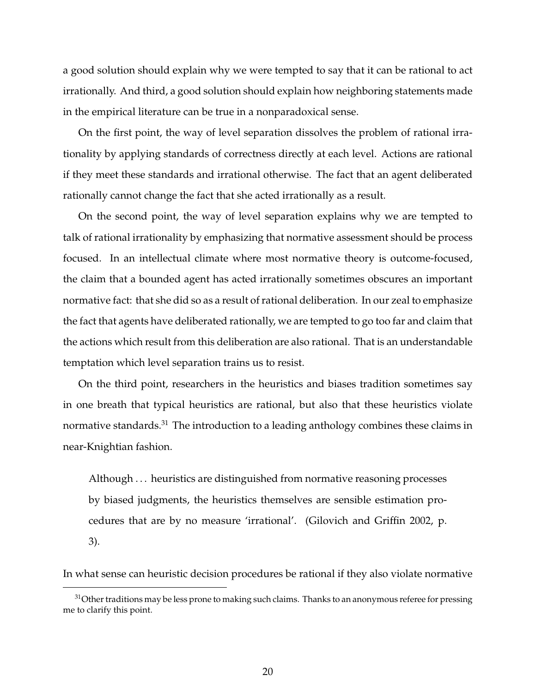a good solution should explain why we were tempted to say that it can be rational to act irrationally. And third, a good solution should explain how neighboring statements made in the empirical literature can be true in a nonparadoxical sense.

On the first point, the way of level separation dissolves the problem of rational irrationality by applying standards of correctness directly at each level. Actions are rational if they meet these standards and irrational otherwise. The fact that an agent deliberated rationally cannot change the fact that she acted irrationally as a result.

On the second point, the way of level separation explains why we are tempted to talk of rational irrationality by emphasizing that normative assessment should be process focused. In an intellectual climate where most normative theory is outcome-focused, the claim that a bounded agent has acted irrationally sometimes obscures an important normative fact: that she did so as a result of rational deliberation. In our zeal to emphasize the fact that agents have deliberated rationally, we are tempted to go too far and claim that the actions which result from this deliberation are also rational. That is an understandable temptation which level separation trains us to resist.

On the third point, researchers in the heuristics and biases tradition sometimes say in one breath that typical heuristics are rational, but also that these heuristics violate normative standards.<sup>31</sup> The introduction to a leading anthology combines these claims in near-Knightian fashion.

Although . . . heuristics are distinguished from normative reasoning processes by biased judgments, the heuristics themselves are sensible estimation procedures that are by no measure 'irrational'. (Gilovich and Griffin 2002, p. 3).

In what sense can heuristic decision procedures be rational if they also violate normative

 $31$ Other traditions may be less prone to making such claims. Thanks to an anonymous referee for pressing me to clarify this point.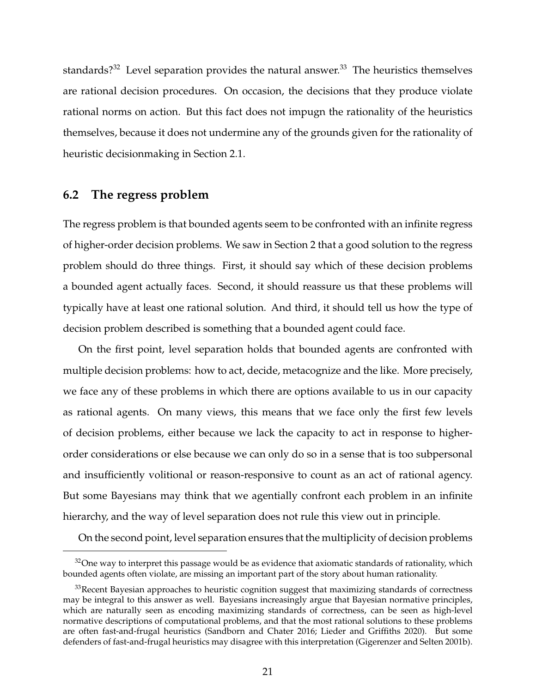standards?<sup>32</sup> Level separation provides the natural answer.<sup>33</sup> The heuristics themselves are rational decision procedures. On occasion, the decisions that they produce violate rational norms on action. But this fact does not impugn the rationality of the heuristics themselves, because it does not undermine any of the grounds given for the rationality of heuristic decisionmaking in Section 2.1.

#### **6.2 The regress problem**

The regress problem is that bounded agents seem to be confronted with an infinite regress of higher-order decision problems. We saw in Section 2 that a good solution to the regress problem should do three things. First, it should say which of these decision problems a bounded agent actually faces. Second, it should reassure us that these problems will typically have at least one rational solution. And third, it should tell us how the type of decision problem described is something that a bounded agent could face.

On the first point, level separation holds that bounded agents are confronted with multiple decision problems: how to act, decide, metacognize and the like. More precisely, we face any of these problems in which there are options available to us in our capacity as rational agents. On many views, this means that we face only the first few levels of decision problems, either because we lack the capacity to act in response to higherorder considerations or else because we can only do so in a sense that is too subpersonal and insufficiently volitional or reason-responsive to count as an act of rational agency. But some Bayesians may think that we agentially confront each problem in an infinite hierarchy, and the way of level separation does not rule this view out in principle.

On the second point, level separation ensures that the multiplicity of decision problems

 $32$ One way to interpret this passage would be as evidence that axiomatic standards of rationality, which bounded agents often violate, are missing an important part of the story about human rationality.

<sup>&</sup>lt;sup>33</sup>Recent Bayesian approaches to heuristic cognition suggest that maximizing standards of correctness may be integral to this answer as well. Bayesians increasingly argue that Bayesian normative principles, which are naturally seen as encoding maximizing standards of correctness, can be seen as high-level normative descriptions of computational problems, and that the most rational solutions to these problems are often fast-and-frugal heuristics (Sandborn and Chater 2016; Lieder and Griffiths 2020). But some defenders of fast-and-frugal heuristics may disagree with this interpretation (Gigerenzer and Selten 2001b).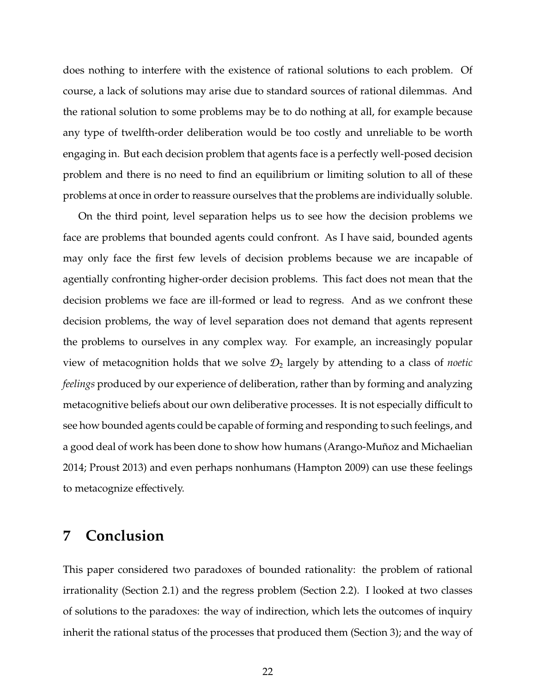does nothing to interfere with the existence of rational solutions to each problem. Of course, a lack of solutions may arise due to standard sources of rational dilemmas. And the rational solution to some problems may be to do nothing at all, for example because any type of twelfth-order deliberation would be too costly and unreliable to be worth engaging in. But each decision problem that agents face is a perfectly well-posed decision problem and there is no need to find an equilibrium or limiting solution to all of these problems at once in order to reassure ourselves that the problems are individually soluble.

On the third point, level separation helps us to see how the decision problems we face are problems that bounded agents could confront. As I have said, bounded agents may only face the first few levels of decision problems because we are incapable of agentially confronting higher-order decision problems. This fact does not mean that the decision problems we face are ill-formed or lead to regress. And as we confront these decision problems, the way of level separation does not demand that agents represent the problems to ourselves in any complex way. For example, an increasingly popular view of metacognition holds that we solve  $\mathcal{D}_2$  largely by attending to a class of *noetic feelings* produced by our experience of deliberation, rather than by forming and analyzing metacognitive beliefs about our own deliberative processes. It is not especially difficult to see how bounded agents could be capable of forming and responding to such feelings, and a good deal of work has been done to show how humans (Arango-Muñoz and Michaelian 2014; Proust 2013) and even perhaps nonhumans (Hampton 2009) can use these feelings to metacognize effectively.

#### **7 Conclusion**

This paper considered two paradoxes of bounded rationality: the problem of rational irrationality (Section 2.1) and the regress problem (Section 2.2). I looked at two classes of solutions to the paradoxes: the way of indirection, which lets the outcomes of inquiry inherit the rational status of the processes that produced them (Section 3); and the way of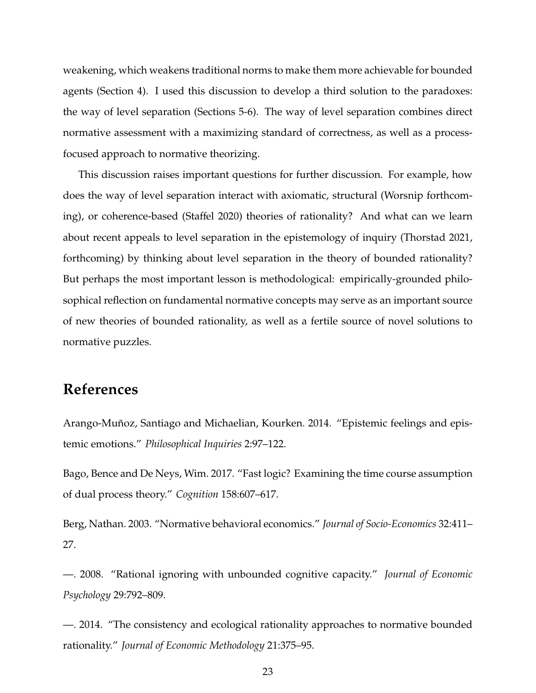weakening, which weakens traditional norms to make them more achievable for bounded agents (Section 4). I used this discussion to develop a third solution to the paradoxes: the way of level separation (Sections 5-6). The way of level separation combines direct normative assessment with a maximizing standard of correctness, as well as a processfocused approach to normative theorizing.

This discussion raises important questions for further discussion. For example, how does the way of level separation interact with axiomatic, structural (Worsnip forthcoming), or coherence-based (Staffel 2020) theories of rationality? And what can we learn about recent appeals to level separation in the epistemology of inquiry (Thorstad 2021, forthcoming) by thinking about level separation in the theory of bounded rationality? But perhaps the most important lesson is methodological: empirically-grounded philosophical reflection on fundamental normative concepts may serve as an important source of new theories of bounded rationality, as well as a fertile source of novel solutions to normative puzzles.

### **References**

Arango-Muñoz, Santiago and Michaelian, Kourken. 2014. "Epistemic feelings and epistemic emotions." *Philosophical Inquiries* 2:97–122.

Bago, Bence and De Neys, Wim. 2017. "Fast logic? Examining the time course assumption of dual process theory." *Cognition* 158:607–617.

Berg, Nathan. 2003. "Normative behavioral economics." *Journal of Socio-Economics* 32:411– 27.

—. 2008. "Rational ignoring with unbounded cognitive capacity." *Journal of Economic Psychology* 29:792–809.

—. 2014. "The consistency and ecological rationality approaches to normative bounded rationality." *Journal of Economic Methodology* 21:375–95.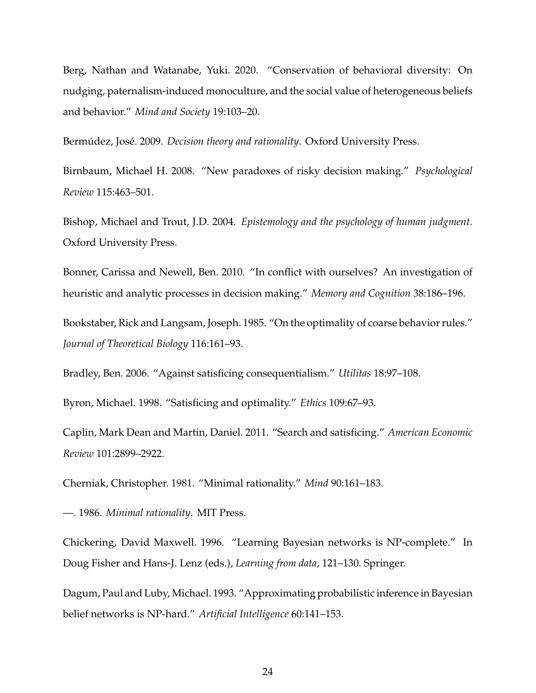Berg, Nathan and Watanabe, Yuki. 2020. "Conservation of behavioral diversity: On nudging, paternalism-induced monoculture, and the social value of heterogeneous beliefs and behavior." *Mind and Society* 19:103–20.

Bermúdez, José. 2009. *Decision theory and rationality*. Oxford University Press.

Birnbaum, Michael H. 2008. "New paradoxes of risky decision making." *Psychological Review* 115:463–501.

Bishop, Michael and Trout, J.D. 2004. *Epistemology and the psychology of human judgment*. Oxford University Press.

Bonner, Carissa and Newell, Ben. 2010. "In conflict with ourselves? An investigation of heuristic and analytic processes in decision making." *Memory and Cognition* 38:186–196.

Bookstaber, Rick and Langsam, Joseph. 1985. "On the optimality of coarse behavior rules." *Journal of Theoretical Biology* 116:161–93.

Bradley, Ben. 2006. "Against satisficing consequentialism." *Utilitas* 18:97–108.

Byron, Michael. 1998. "Satisficing and optimality." *Ethics* 109:67–93.

Caplin, Mark Dean and Martin, Daniel. 2011. "Search and satisficing." *American Economic Review* 101:2899–2922.

Cherniak, Christopher. 1981. "Minimal rationality." *Mind* 90:161–183.

—. 1986. *Minimal rationality*. MIT Press.

Chickering, David Maxwell. 1996. "Learning Bayesian networks is NP-complete." In Doug Fisher and Hans-J. Lenz (eds.), *Learning from data*, 121–130. Springer.

Dagum, Paul and Luby, Michael. 1993. "Approximating probabilistic inference in Bayesian belief networks is NP-hard." *Artificial Intelligence* 60:141–153.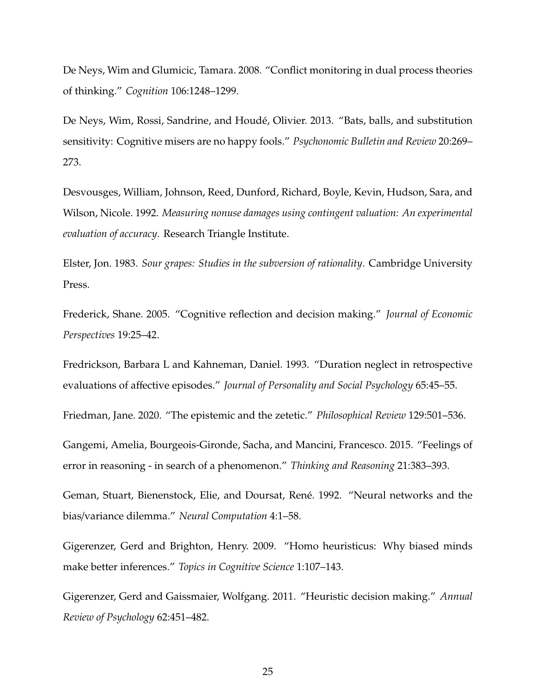De Neys, Wim and Glumicic, Tamara. 2008. "Conflict monitoring in dual process theories of thinking." *Cognition* 106:1248–1299.

De Neys, Wim, Rossi, Sandrine, and Houdé, Olivier. 2013. "Bats, balls, and substitution sensitivity: Cognitive misers are no happy fools." *Psychonomic Bulletin and Review* 20:269– 273.

Desvousges, William, Johnson, Reed, Dunford, Richard, Boyle, Kevin, Hudson, Sara, and Wilson, Nicole. 1992. *Measuring nonuse damages using contingent valuation: An experimental evaluation of accuracy*. Research Triangle Institute.

Elster, Jon. 1983. *Sour grapes: Studies in the subversion of rationality*. Cambridge University Press.

Frederick, Shane. 2005. "Cognitive reflection and decision making." *Journal of Economic Perspectives* 19:25–42.

Fredrickson, Barbara L and Kahneman, Daniel. 1993. "Duration neglect in retrospective evaluations of affective episodes." *Journal of Personality and Social Psychology* 65:45–55.

Friedman, Jane. 2020. "The epistemic and the zetetic." *Philosophical Review* 129:501–536.

Gangemi, Amelia, Bourgeois-Gironde, Sacha, and Mancini, Francesco. 2015. "Feelings of error in reasoning - in search of a phenomenon." *Thinking and Reasoning* 21:383–393.

Geman, Stuart, Bienenstock, Elie, and Doursat, René. 1992. "Neural networks and the bias/variance dilemma." *Neural Computation* 4:1–58.

Gigerenzer, Gerd and Brighton, Henry. 2009. "Homo heuristicus: Why biased minds make better inferences." *Topics in Cognitive Science* 1:107–143.

Gigerenzer, Gerd and Gaissmaier, Wolfgang. 2011. "Heuristic decision making." *Annual Review of Psychology* 62:451–482.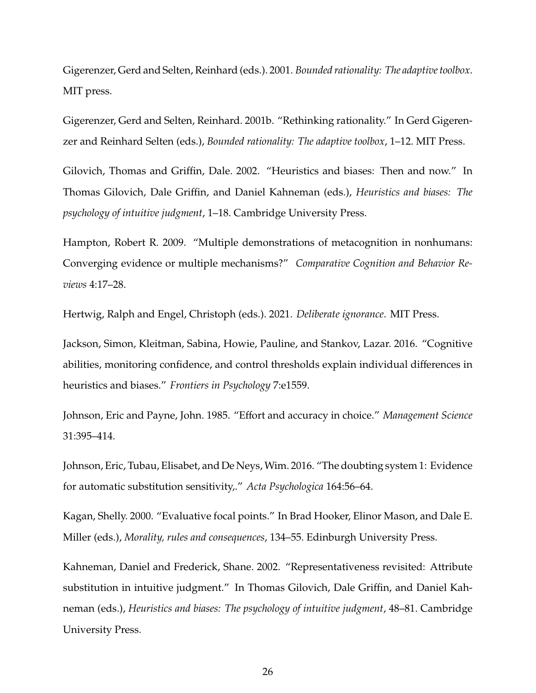Gigerenzer, Gerd and Selten, Reinhard (eds.). 2001. *Bounded rationality: The adaptive toolbox*. MIT press.

Gigerenzer, Gerd and Selten, Reinhard. 2001b. "Rethinking rationality." In Gerd Gigerenzer and Reinhard Selten (eds.), *Bounded rationality: The adaptive toolbox*, 1–12. MIT Press.

Gilovich, Thomas and Griffin, Dale. 2002. "Heuristics and biases: Then and now." In Thomas Gilovich, Dale Griffin, and Daniel Kahneman (eds.), *Heuristics and biases: The psychology of intuitive judgment*, 1–18. Cambridge University Press.

Hampton, Robert R. 2009. "Multiple demonstrations of metacognition in nonhumans: Converging evidence or multiple mechanisms?" *Comparative Cognition and Behavior Reviews* 4:17–28.

Hertwig, Ralph and Engel, Christoph (eds.). 2021. *Deliberate ignorance*. MIT Press.

Jackson, Simon, Kleitman, Sabina, Howie, Pauline, and Stankov, Lazar. 2016. "Cognitive abilities, monitoring confidence, and control thresholds explain individual differences in heuristics and biases." *Frontiers in Psychology* 7:e1559.

Johnson, Eric and Payne, John. 1985. "Effort and accuracy in choice." *Management Science* 31:395–414.

Johnson, Eric, Tubau, Elisabet, and De Neys, Wim. 2016. "The doubting system 1: Evidence for automatic substitution sensitivity,." *Acta Psychologica* 164:56–64.

Kagan, Shelly. 2000. "Evaluative focal points." In Brad Hooker, Elinor Mason, and Dale E. Miller (eds.), *Morality, rules and consequences*, 134–55. Edinburgh University Press.

Kahneman, Daniel and Frederick, Shane. 2002. "Representativeness revisited: Attribute substitution in intuitive judgment." In Thomas Gilovich, Dale Griffin, and Daniel Kahneman (eds.), *Heuristics and biases: The psychology of intuitive judgment*, 48–81. Cambridge University Press.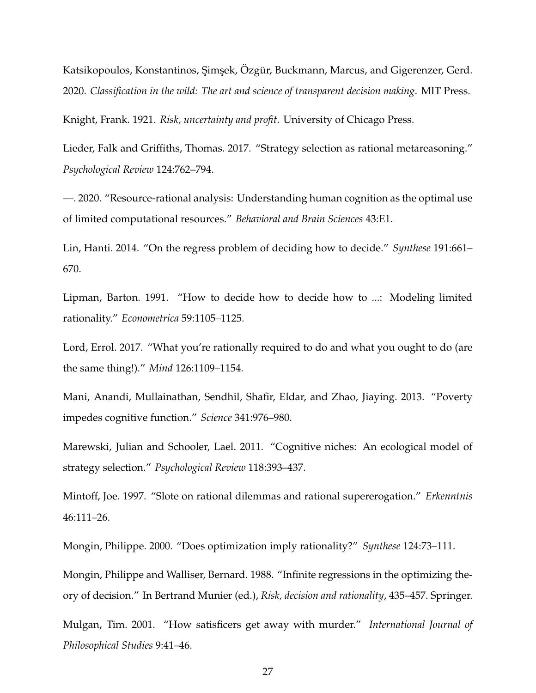Katsikopoulos, Konstantinos, Şimşek, Özgür, Buckmann, Marcus, and Gigerenzer, Gerd. 2020. *Classification in the wild: The art and science of transparent decision making*. MIT Press.

Knight, Frank. 1921. *Risk, uncertainty and profit*. University of Chicago Press.

Lieder, Falk and Griffiths, Thomas. 2017. "Strategy selection as rational metareasoning." *Psychological Review* 124:762–794.

—. 2020. "Resource-rational analysis: Understanding human cognition as the optimal use of limited computational resources." *Behavioral and Brain Sciences* 43:E1.

Lin, Hanti. 2014. "On the regress problem of deciding how to decide." *Synthese* 191:661– 670.

Lipman, Barton. 1991. "How to decide how to decide how to ...: Modeling limited rationality." *Econometrica* 59:1105–1125.

Lord, Errol. 2017. "What you're rationally required to do and what you ought to do (are the same thing!)." *Mind* 126:1109–1154.

Mani, Anandi, Mullainathan, Sendhil, Shafir, Eldar, and Zhao, Jiaying. 2013. "Poverty impedes cognitive function." *Science* 341:976–980.

Marewski, Julian and Schooler, Lael. 2011. "Cognitive niches: An ecological model of strategy selection." *Psychological Review* 118:393–437.

Mintoff, Joe. 1997. "Slote on rational dilemmas and rational supererogation." *Erkenntnis* 46:111–26.

Mongin, Philippe. 2000. "Does optimization imply rationality?" *Synthese* 124:73–111.

Mongin, Philippe and Walliser, Bernard. 1988. "Infinite regressions in the optimizing theory of decision." In Bertrand Munier (ed.), *Risk, decision and rationality*, 435–457. Springer.

Mulgan, Tim. 2001. "How satisficers get away with murder." *International Journal of Philosophical Studies* 9:41–46.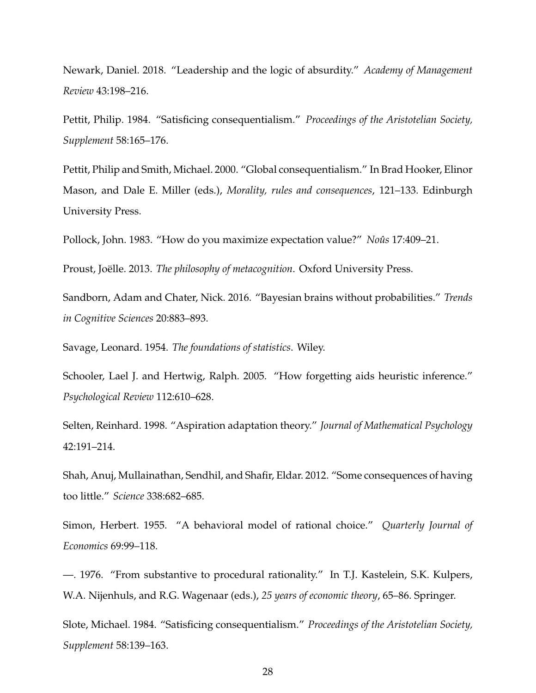Newark, Daniel. 2018. "Leadership and the logic of absurdity." *Academy of Management Review* 43:198–216.

Pettit, Philip. 1984. "Satisficing consequentialism." *Proceedings of the Aristotelian Society, Supplement* 58:165–176.

Pettit, Philip and Smith, Michael. 2000. "Global consequentialism." In Brad Hooker, Elinor Mason, and Dale E. Miller (eds.), *Morality, rules and consequences*, 121–133. Edinburgh University Press.

Pollock, John. 1983. "How do you maximize expectation value?" *Noûs* 17:409-21.

Proust, Joëlle. 2013. The philosophy of metacognition. Oxford University Press.

Sandborn, Adam and Chater, Nick. 2016. "Bayesian brains without probabilities." *Trends in Cognitive Sciences* 20:883–893.

Savage, Leonard. 1954. *The foundations of statistics*. Wiley.

Schooler, Lael J. and Hertwig, Ralph. 2005. "How forgetting aids heuristic inference." *Psychological Review* 112:610–628.

Selten, Reinhard. 1998. "Aspiration adaptation theory." *Journal of Mathematical Psychology* 42:191–214.

Shah, Anuj, Mullainathan, Sendhil, and Shafir, Eldar. 2012. "Some consequences of having too little." *Science* 338:682–685.

Simon, Herbert. 1955. "A behavioral model of rational choice." *Quarterly Journal of Economics* 69:99–118.

—. 1976. "From substantive to procedural rationality." In T.J. Kastelein, S.K. Kulpers, W.A. Nijenhuls, and R.G. Wagenaar (eds.), *25 years of economic theory*, 65–86. Springer.

Slote, Michael. 1984. "Satisficing consequentialism." *Proceedings of the Aristotelian Society, Supplement* 58:139–163.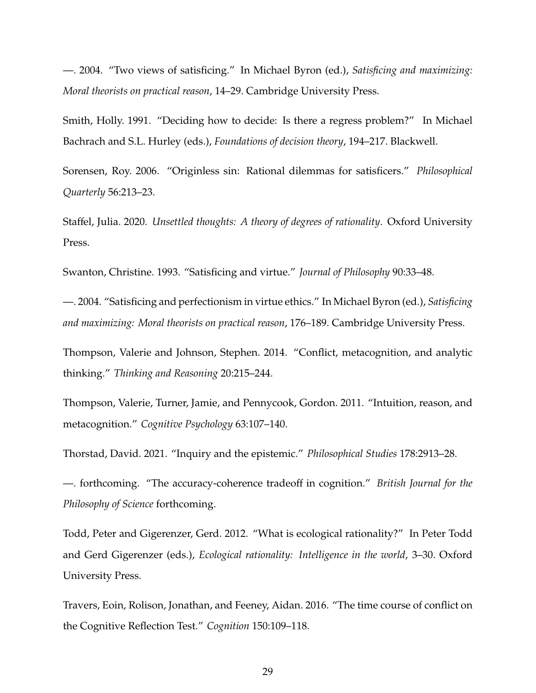—. 2004. "Two views of satisficing." In Michael Byron (ed.), *Satisficing and maximizing: Moral theorists on practical reason*, 14–29. Cambridge University Press.

Smith, Holly. 1991. "Deciding how to decide: Is there a regress problem?" In Michael Bachrach and S.L. Hurley (eds.), *Foundations of decision theory*, 194–217. Blackwell.

Sorensen, Roy. 2006. "Originless sin: Rational dilemmas for satisficers." *Philosophical Quarterly* 56:213–23.

Staffel, Julia. 2020. *Unsettled thoughts: A theory of degrees of rationality*. Oxford University Press.

Swanton, Christine. 1993. "Satisficing and virtue." *Journal of Philosophy* 90:33–48.

—. 2004. "Satisficing and perfectionism in virtue ethics." In Michael Byron (ed.), *Satisficing and maximizing: Moral theorists on practical reason*, 176–189. Cambridge University Press.

Thompson, Valerie and Johnson, Stephen. 2014. "Conflict, metacognition, and analytic thinking." *Thinking and Reasoning* 20:215–244.

Thompson, Valerie, Turner, Jamie, and Pennycook, Gordon. 2011. "Intuition, reason, and metacognition." *Cognitive Psychology* 63:107–140.

Thorstad, David. 2021. "Inquiry and the epistemic." *Philosophical Studies* 178:2913–28.

—. forthcoming. "The accuracy-coherence tradeoff in cognition." *British Journal for the Philosophy of Science* forthcoming.

Todd, Peter and Gigerenzer, Gerd. 2012. "What is ecological rationality?" In Peter Todd and Gerd Gigerenzer (eds.), *Ecological rationality: Intelligence in the world*, 3–30. Oxford University Press.

Travers, Eoin, Rolison, Jonathan, and Feeney, Aidan. 2016. "The time course of conflict on the Cognitive Reflection Test." *Cognition* 150:109–118.